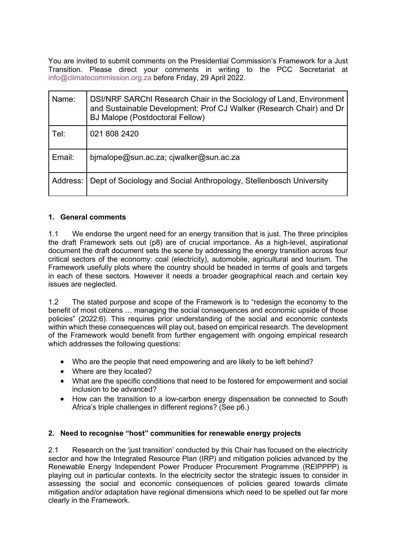You are invited to submit comments on the Presidential Commission's Framework for a Just Transition. Please direct your comments in writing to the PCC Secretariat at info@climatecommission.org.za before Friday, 29 April 2022.

| Name:    | DSI/NRF SARChI Research Chair in the Sociology of Land, Environment<br>and Sustainable Development: Prof CJ Walker (Research Chair) and Dr<br><b>BJ Malope (Postdoctoral Fellow)</b> |
|----------|--------------------------------------------------------------------------------------------------------------------------------------------------------------------------------------|
| Tel:     | 021 808 2420                                                                                                                                                                         |
| Email:   | bjmalope@sun.ac.za; cjwalker@sun.ac.za                                                                                                                                               |
| Address: | Dept of Sociology and Social Anthropology, Stellenbosch University                                                                                                                   |

### **1. General comments**

1.1 We endorse the urgent need for an energy transition that is just. The three principles the draft Framework sets out (p8) are of crucial importance. As a high-level, aspirational document the draft document sets the scene by addressing the energy transition across four critical sectors of the economy: coal (electricity), automobile, agricultural and tourism. The Framework usefully plots where the country should be headed in terms of goals and targets in each of these sectors. However it needs a broader geographical reach and certain key issues are neglected.

1.2 The stated purpose and scope of the Framework is to "redesign the economy to the benefit of most citizens … managing the social consequences and economic upside of those policies" (2022:6). This requires prior understanding of the social and economic contexts within which these consequences will play out, based on empirical research. The development of the Framework would benefit from further engagement with ongoing empirical research which addresses the following questions:

- Who are the people that need empowering and are likely to be left behind?
- Where are they located?
- What are the specific conditions that need to be fostered for empowerment and social inclusion to be advanced?
- How can the transition to a low-carbon energy dispensation be connected to South Africa's triple challenges in different regions? (See p6.)

### **2. Need to recognise "host" communities for renewable energy projects**

2.1 Research on the 'just transition' conducted by this Chair has focused on the electricity sector and how the Integrated Resource Plan (IRP) and mitigation policies advanced by the Renewable Energy Independent Power Producer Procurement Programme (REIPPPP) is playing out in particular contexts. In the electricity sector the strategic issues to consider in assessing the social and economic consequences of policies geared towards climate mitigation and/or adaptation have regional dimensions which need to be spelled out far more clearly in the Framework.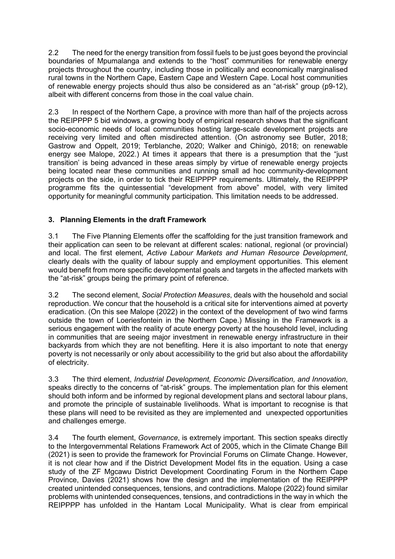2.2 The need for the energy transition from fossil fuels to be just goes beyond the provincial boundaries of Mpumalanga and extends to the "host" communities for renewable energy projects throughout the country, including those in politically and economically marginalised rural towns in the Northern Cape, Eastern Cape and Western Cape. Local host communities of renewable energy projects should thus also be considered as an "at-risk" group (p9-12), albeit with different concerns from those in the coal value chain.

2.3 In respect of the Northern Cape, a province with more than half of the projects across the REIPPPP 5 bid windows, a growing body of empirical research shows that the significant socio-economic needs of local communities hosting large-scale development projects are receiving very limited and often misdirected attention. (On astronomy see Butler, 2018; Gastrow and Oppelt, 2019; Terblanche, 2020; Walker and Chinigò, 2018; on renewable energy see Malope, 2022.) At times it appears that there is a presumption that the "just transition' is being advanced in these areas simply by virtue of renewable energy projects being located near these communities and running small ad hoc community-development projects on the side, in order to tick their REIPPPP requirements. Ultimately, the REIPPPP programme fits the quintessential "development from above" model, with very limited opportunity for meaningful community participation. This limitation needs to be addressed.

## **3. Planning Elements in the draft Framework**

3.1 The Five Planning Elements offer the scaffolding for the just transition framework and their application can seen to be relevant at different scales: national, regional (or provincial) and local. The first element, *Active Labour Markets and Human Resource Development*, clearly deals with the quality of labour supply and employment opportunities. This element would benefit from more specific developmental goals and targets in the affected markets with the "at-risk" groups being the primary point of reference.

3.2 The second element, *Social Protection Measures*, deals with the household and social reproduction. We concur that the household is a critical site for interventions aimed at poverty eradication. (On this see Malope (2022) in the context of the development of two wind farms outside the town of Loeriesfontein in the Northern Cape.) Missing in the Framework is a serious engagement with the reality of acute energy poverty at the household level, including in communities that are seeing major investment in renewable energy infrastructure in their backyards from which they are not benefiting. Here it is also important to note that energy poverty is not necessarily or only about accessibility to the grid but also about the affordability of electricity.

3.3 The third element, *Industrial Development, Economic Diversification, and Innovation*, speaks directly to the concerns of "at-risk" groups. The implementation plan for this element should both inform and be informed by regional development plans and sectoral labour plans, and promote the principle of sustainable livelihoods. What is important to recognise is that these plans will need to be revisited as they are implemented and unexpected opportunities and challenges emerge.

3.4 The fourth element, *Governance*, is extremely important. This section speaks directly to the Intergovernmental Relations Framework Act of 2005, which in the Climate Change Bill (2021) is seen to provide the framework for Provincial Forums on Climate Change. However, it is not clear how and if the District Development Model fits in the equation. Using a case study of the ZF Mgcawu District Development Coordinating Forum in the Northern Cape Province, Davies (2021) shows how the design and the implementation of the REIPPPP created unintended consequences, tensions, and contradictions. Malope (2022) found similar problems with unintended consequences, tensions, and contradictions in the way in which the REIPPPP has unfolded in the Hantam Local Municipality. What is clear from empirical